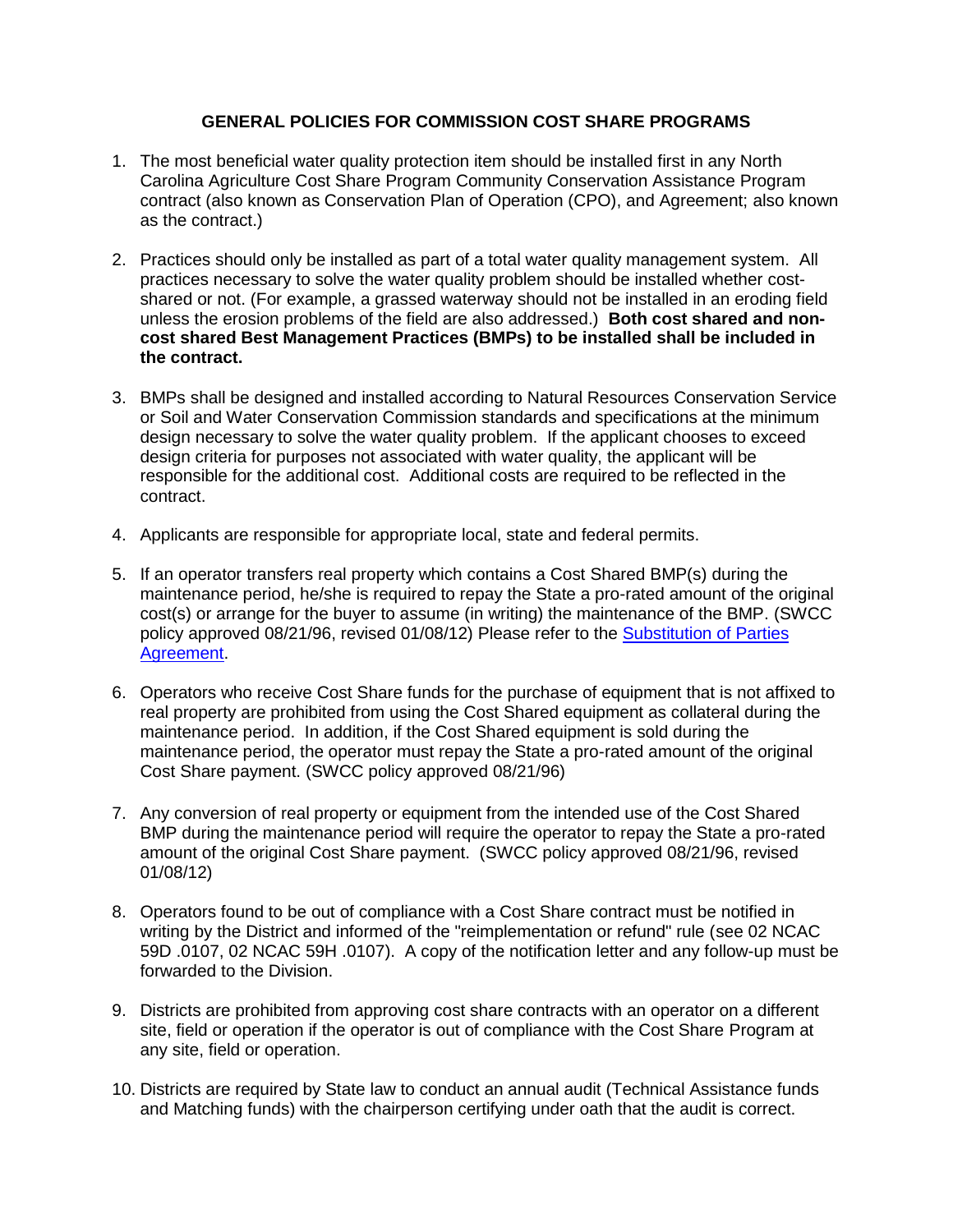## **GENERAL POLICIES FOR COMMISSION COST SHARE PROGRAMS**

- 1. The most beneficial water quality protection item should be installed first in any North Carolina Agriculture Cost Share Program Community Conservation Assistance Program contract (also known as Conservation Plan of Operation (CPO), and Agreement; also known as the contract.)
- 2. Practices should only be installed as part of a total water quality management system. All practices necessary to solve the water quality problem should be installed whether costshared or not. (For example, a grassed waterway should not be installed in an eroding field unless the erosion problems of the field are also addressed.) **Both cost shared and noncost shared Best Management Practices (BMPs) to be installed shall be included in the contract.**
- 3. BMPs shall be designed and installed according to Natural Resources Conservation Service or Soil and Water Conservation Commission standards and specifications at the minimum design necessary to solve the water quality problem. If the applicant chooses to exceed design criteria for purposes not associated with water quality, the applicant will be responsible for the additional cost. Additional costs are required to be reflected in the contract.
- 4. Applicants are responsible for appropriate local, state and federal permits.
- 5. If an operator transfers real property which contains a Cost Shared BMP(s) during the maintenance period, he/she is required to repay the State a pro-rated amount of the original cost(s) or arrange for the buyer to assume (in writing) the maintenance of the BMP. (SWCC policy approved 08/21/96, revised 01/08/12) Please refer to the Substitution of Parties [Agreement.](http://www.ncagr.gov/SWC/costshareprograms/Forms.html)
- 6. Operators who receive Cost Share funds for the purchase of equipment that is not affixed to real property are prohibited from using the Cost Shared equipment as collateral during the maintenance period. In addition, if the Cost Shared equipment is sold during the maintenance period, the operator must repay the State a pro-rated amount of the original Cost Share payment. (SWCC policy approved 08/21/96)
- 7. Any conversion of real property or equipment from the intended use of the Cost Shared BMP during the maintenance period will require the operator to repay the State a pro-rated amount of the original Cost Share payment. (SWCC policy approved 08/21/96, revised 01/08/12)
- 8. Operators found to be out of compliance with a Cost Share contract must be notified in writing by the District and informed of the "reimplementation or refund" rule (see 02 NCAC 59D .0107, 02 NCAC 59H .0107). A copy of the notification letter and any follow-up must be forwarded to the Division.
- 9. Districts are prohibited from approving cost share contracts with an operator on a different site, field or operation if the operator is out of compliance with the Cost Share Program at any site, field or operation.
- 10. Districts are required by State law to conduct an annual audit (Technical Assistance funds and Matching funds) with the chairperson certifying under oath that the audit is correct.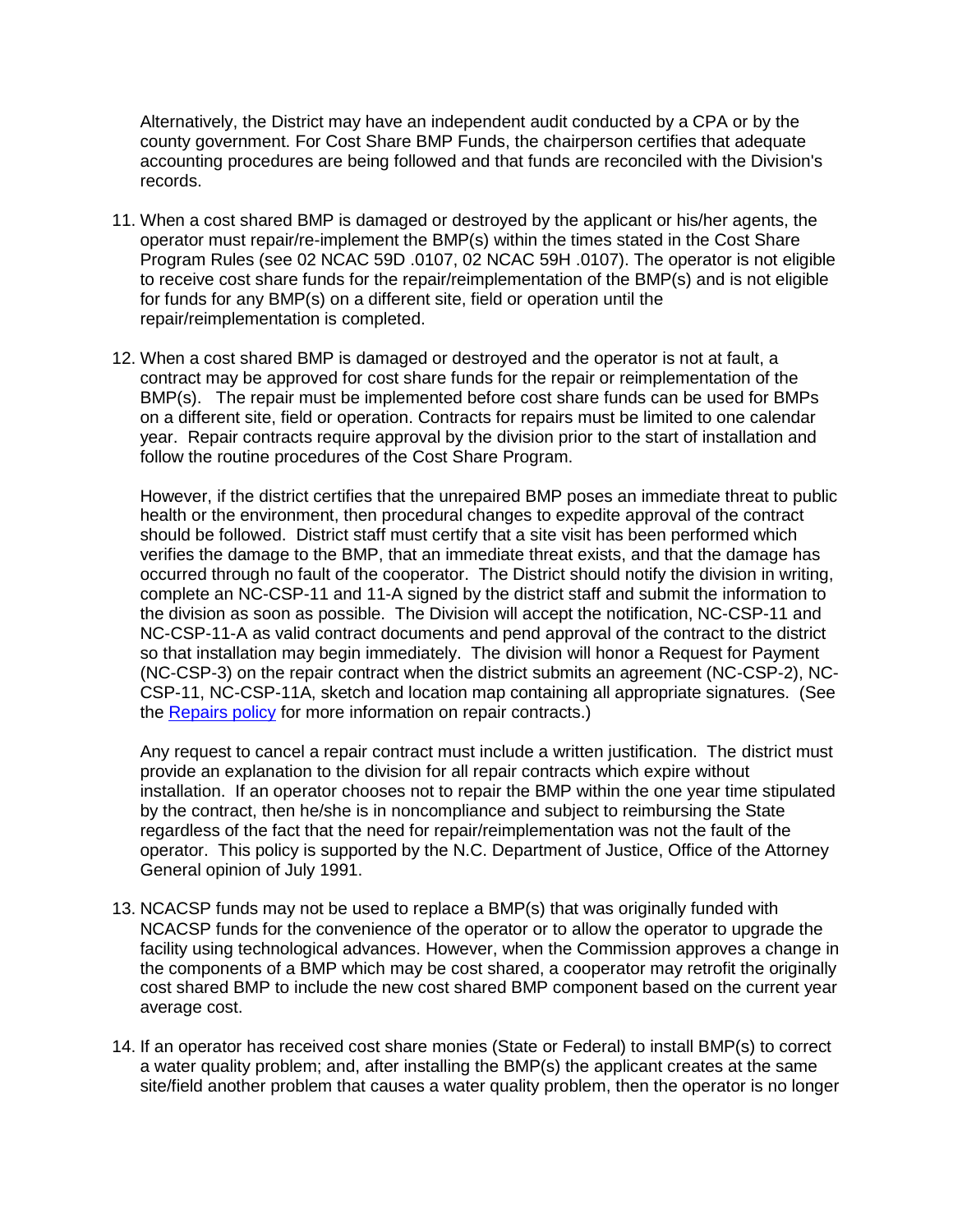Alternatively, the District may have an independent audit conducted by a CPA or by the county government. For Cost Share BMP Funds, the chairperson certifies that adequate accounting procedures are being followed and that funds are reconciled with the Division's records.

- 11. When a cost shared BMP is damaged or destroyed by the applicant or his/her agents, the operator must repair/re-implement the BMP(s) within the times stated in the Cost Share Program Rules (see 02 NCAC 59D .0107, 02 NCAC 59H .0107). The operator is not eligible to receive cost share funds for the repair/reimplementation of the BMP(s) and is not eligible for funds for any BMP(s) on a different site, field or operation until the repair/reimplementation is completed.
- 12. When a cost shared BMP is damaged or destroyed and the operator is not at fault, a contract may be approved for cost share funds for the repair or reimplementation of the BMP(s). The repair must be implemented before cost share funds can be used for BMPs on a different site, field or operation. Contracts for repairs must be limited to one calendar year. Repair contracts require approval by the division prior to the start of installation and follow the routine procedures of the Cost Share Program.

However, if the district certifies that the unrepaired BMP poses an immediate threat to public health or the environment, then procedural changes to expedite approval of the contract should be followed. District staff must certify that a site visit has been performed which verifies the damage to the BMP, that an immediate threat exists, and that the damage has occurred through no fault of the cooperator. The District should notify the division in writing, complete an NC-CSP-11 and 11-A signed by the district staff and submit the information to the division as soon as possible. The Division will accept the notification, NC-CSP-11 and NC-CSP-11-A as valid contract documents and pend approval of the contract to the district so that installation may begin immediately. The division will honor a Request for Payment (NC-CSP-3) on the repair contract when the district submits an agreement (NC-CSP-2), NC-CSP-11, NC-CSP-11A, sketch and location map containing all appropriate signatures. (See the [Repairs policy](http://www.ncagr.gov/SWC/costshareprograms/Manual.html) for more information on repair contracts.)

Any request to cancel a repair contract must include a written justification. The district must provide an explanation to the division for all repair contracts which expire without installation. If an operator chooses not to repair the BMP within the one year time stipulated by the contract, then he/she is in noncompliance and subject to reimbursing the State regardless of the fact that the need for repair/reimplementation was not the fault of the operator. This policy is supported by the N.C. Department of Justice, Office of the Attorney General opinion of July 1991.

- 13. NCACSP funds may not be used to replace a BMP(s) that was originally funded with NCACSP funds for the convenience of the operator or to allow the operator to upgrade the facility using technological advances. However, when the Commission approves a change in the components of a BMP which may be cost shared, a cooperator may retrofit the originally cost shared BMP to include the new cost shared BMP component based on the current year average cost.
- 14. If an operator has received cost share monies (State or Federal) to install BMP(s) to correct a water quality problem; and, after installing the BMP(s) the applicant creates at the same site/field another problem that causes a water quality problem, then the operator is no longer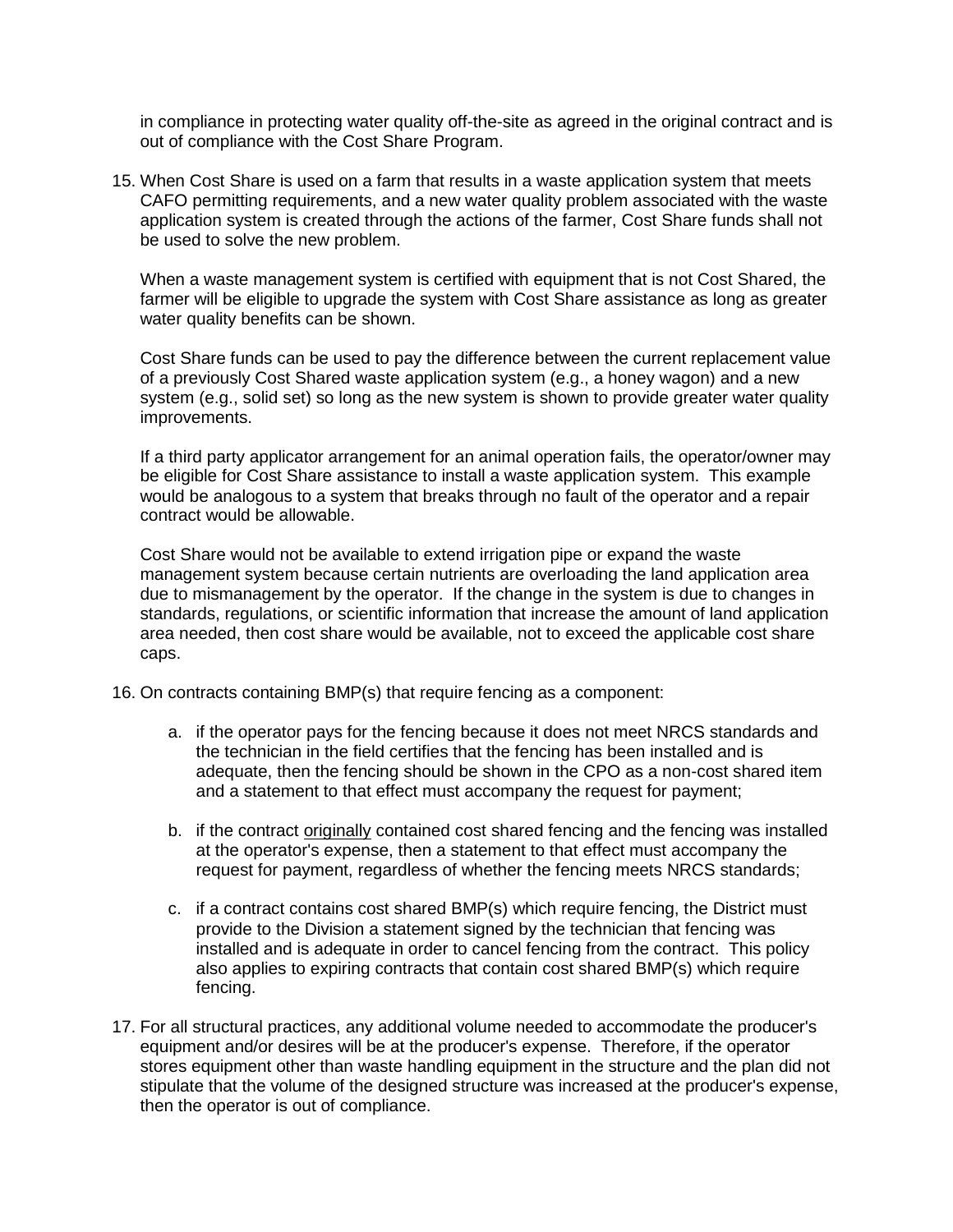in compliance in protecting water quality off-the-site as agreed in the original contract and is out of compliance with the Cost Share Program.

15. When Cost Share is used on a farm that results in a waste application system that meets CAFO permitting requirements, and a new water quality problem associated with the waste application system is created through the actions of the farmer, Cost Share funds shall not be used to solve the new problem.

When a waste management system is certified with equipment that is not Cost Shared, the farmer will be eligible to upgrade the system with Cost Share assistance as long as greater water quality benefits can be shown.

Cost Share funds can be used to pay the difference between the current replacement value of a previously Cost Shared waste application system (e.g., a honey wagon) and a new system (e.g., solid set) so long as the new system is shown to provide greater water quality improvements.

If a third party applicator arrangement for an animal operation fails, the operator/owner may be eligible for Cost Share assistance to install a waste application system. This example would be analogous to a system that breaks through no fault of the operator and a repair contract would be allowable.

Cost Share would not be available to extend irrigation pipe or expand the waste management system because certain nutrients are overloading the land application area due to mismanagement by the operator. If the change in the system is due to changes in standards, regulations, or scientific information that increase the amount of land application area needed, then cost share would be available, not to exceed the applicable cost share caps.

- 16. On contracts containing BMP(s) that require fencing as a component:
	- a. if the operator pays for the fencing because it does not meet NRCS standards and the technician in the field certifies that the fencing has been installed and is adequate, then the fencing should be shown in the CPO as a non-cost shared item and a statement to that effect must accompany the request for payment;
	- b. if the contract originally contained cost shared fencing and the fencing was installed at the operator's expense, then a statement to that effect must accompany the request for payment, regardless of whether the fencing meets NRCS standards;
	- c. if a contract contains cost shared BMP(s) which require fencing, the District must provide to the Division a statement signed by the technician that fencing was installed and is adequate in order to cancel fencing from the contract. This policy also applies to expiring contracts that contain cost shared BMP(s) which require fencing.
- 17. For all structural practices, any additional volume needed to accommodate the producer's equipment and/or desires will be at the producer's expense. Therefore, if the operator stores equipment other than waste handling equipment in the structure and the plan did not stipulate that the volume of the designed structure was increased at the producer's expense, then the operator is out of compliance.